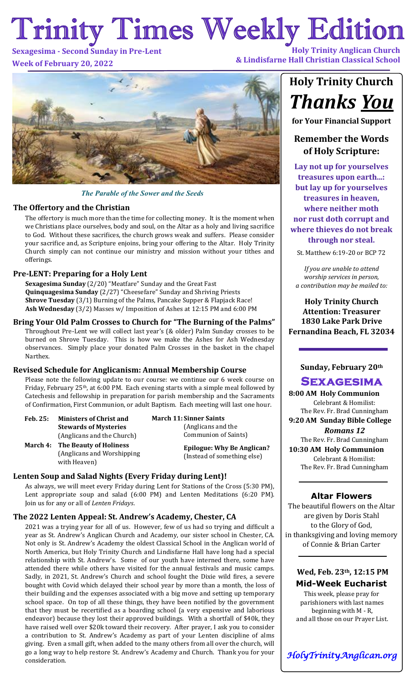# Trinity Times Weekly Edition **Holy Trinity Anglican Church**

## **Sexagesima - Second Sunday in Pre-Lent Week of February 20, 2022**

**& Lindisfarne Hall Christian Classical School**



### *The Parable of the Sower and the Seeds*

### **The Offertory and the Christian**

The offertory is much more than the time for collecting money. It is the moment when we Christians place ourselves, body and soul, on the Altar as a holy and living sacrifice to God. Without these sacrifices, the church grows weak and suffers. Please consider your sacrifice and, as Scripture enjoins, bring your offering to the Altar. Holy Trinity Church simply can not continue our ministry and mission without your tithes and offerings.

## **Pre-LENT: Preparing for a Holy Lent**

**Sexagesima Sunday** (2/20) "Meatfare" Sunday and the Great Fast **Quinquagesima Sunday** (2/27) "Cheesefare" Sunday and Shriving Priests **Shrove Tuesday** (3/1) Burning of the Palms, Pancake Supper & Flapjack Race! **Ash Wednesday** (3/2) Masses w/ Imposition of Ashes at 12:15 PM and 6:00 PM

**Bring Your Old Palm Crosses to Church for "The Burning of the Palms"** Throughout Pre-Lent we will collect last year's (& older) Palm Sunday crosses to be burned on Shrove Tuesday. This is how we make the Ashes for Ash Wednesday observances. Simply place your donated Palm Crosses in the basket in the chapel Narthex.

#### **Revised Schedule for Anglicanism: Annual Membership Course**

Please note the following update to our course: we continue our 6 week course on Friday, February 25th, at 6:00 PM. Each evening starts with a simple meal followed by Catechesis and fellowship in preparation for parish membership and the Sacraments of Confirmation, First Communion, or adult Baptism. Each meeting will last one hour.

| Feb. 25: | <b>Ministers of Christ and</b>  |  |
|----------|---------------------------------|--|
|          | <b>Stewards of Mysteries</b>    |  |
|          | (Anglicans and the Church)      |  |
|          | March 4: The Beauty of Holiness |  |
|          | (Anglicans and Worshipping      |  |

with Heaven)

**March 11: Sinner Saints**  (Anglicans and the Communion of Saints)

> **Epilogue: Why Be Anglican?**  (Instead of something else)

## **Lenten Soup and Salad Nights (Every Friday during Lent)!**

As always, we will meet every Friday during Lent for Stations of the Cross (5:30 PM), Lent appropriate soup and salad (6:00 PM) and Lenten Meditations (6:20 PM). Join us for any or all of *Lenten Fridays*.

## **The 2022 Lenten Appeal: St. Andrew's Academy, Chester, CA**

2021 was a trying year for all of us. However, few of us had so trying and difficult a year as St. Andrew's Anglican Church and Academy, our sister school in Chester, CA. Not only is St. Andrew's Academy the oldest Classical School in the Anglican world of North America, but Holy Trinity Church and Lindisfarne Hall have long had a special relationship with St. Andrew's. Some of our youth have interned there, some have attended there while others have visited for the annual festivals and music camps. Sadly, in 2021, St. Andrew's Church and school fought the Dixie wild fires, a severe bought with Covid which delayed their school year by more than a month, the loss of their building and the expenses associated with a big move and setting up temporary school space. On top of all these things, they have been notified by the government that they must be recertified as a boarding school (a very expensive and laborious endeavor) because they lost their approved buildings. With a shortfall of \$40k, they have raised well over \$20k toward their recovery. After prayer, I ask you to consider a contribution to St. Andrew's Academy as part of your Lenten discipline of alms giving. Even a small gift, when added to the many others from all over the church, will go a long way to help restore St. Andrew's Academy and Church. Thank you for your consideration.

# **Holy Trinity Church**  *Thanks You*

**for Your Financial Support**

## **Remember the Words of Holy Scripture:**

**Lay not up for yourselves treasures upon earth...: but lay up for yourselves treasures in heaven, where neither moth nor rust doth corrupt and where thieves do not break through nor steal.**

St. Matthew 6:19-20 or BCP 72

*If you are unable to attend worship services in person, a contribution may be mailed to:* 

**Holy Trinity Church Attention: Treasurer 1830 Lake Park Drive Fernandina Beach, FL 32034**

## **Sunday, February 20th**

## **Sexagesima**

**8:00 AM Holy Communion** Celebrant & Homilist: The Rev. Fr. Brad Cunningham **9:20 AM Sunday Bible College** *Romans 12* The Rev. Fr. Brad Cunningham **10:30 AM Holy Communion** Celebrant & Homilist: The Rev. Fr. Brad Cunningham

## **Altar Flowers**

The beautiful flowers on the Altar are given by Doris Stahl to the Glory of God, in thanksgiving and loving memory of Connie & Brian Carter

## **Wed, Feb. 23th, 12:15 PM Mid-Week Eucharist**

This week, please pray for parishioners with last names beginning with M - R, and all those on our Prayer List.

*HolyTrinityAnglican.org*